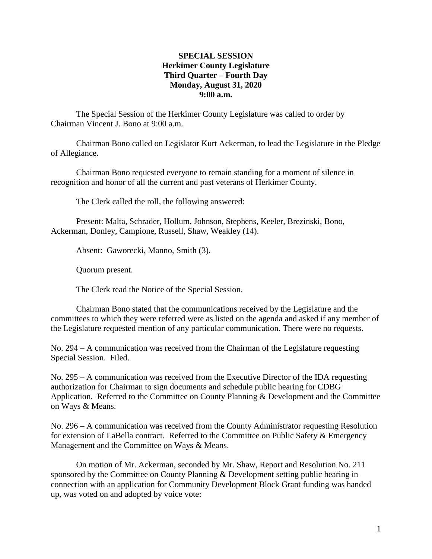# **SPECIAL SESSION Herkimer County Legislature Third Quarter – Fourth Day Monday, August 31, 2020 9:00 a.m.**

The Special Session of the Herkimer County Legislature was called to order by Chairman Vincent J. Bono at 9:00 a.m.

Chairman Bono called on Legislator Kurt Ackerman, to lead the Legislature in the Pledge of Allegiance.

Chairman Bono requested everyone to remain standing for a moment of silence in recognition and honor of all the current and past veterans of Herkimer County.

The Clerk called the roll, the following answered:

Present: Malta, Schrader, Hollum, Johnson, Stephens, Keeler, Brezinski, Bono, Ackerman, Donley, Campione, Russell, Shaw, Weakley (14).

Absent: Gaworecki, Manno, Smith (3).

Quorum present.

The Clerk read the Notice of the Special Session.

Chairman Bono stated that the communications received by the Legislature and the committees to which they were referred were as listed on the agenda and asked if any member of the Legislature requested mention of any particular communication. There were no requests.

No. 294 – A communication was received from the Chairman of the Legislature requesting Special Session. Filed.

No. 295 – A communication was received from the Executive Director of the IDA requesting authorization for Chairman to sign documents and schedule public hearing for CDBG Application. Referred to the Committee on County Planning & Development and the Committee on Ways & Means.

No. 296 – A communication was received from the County Administrator requesting Resolution for extension of LaBella contract. Referred to the Committee on Public Safety & Emergency Management and the Committee on Ways & Means.

On motion of Mr. Ackerman, seconded by Mr. Shaw, Report and Resolution No. 211 sponsored by the Committee on County Planning & Development setting public hearing in connection with an application for Community Development Block Grant funding was handed up, was voted on and adopted by voice vote: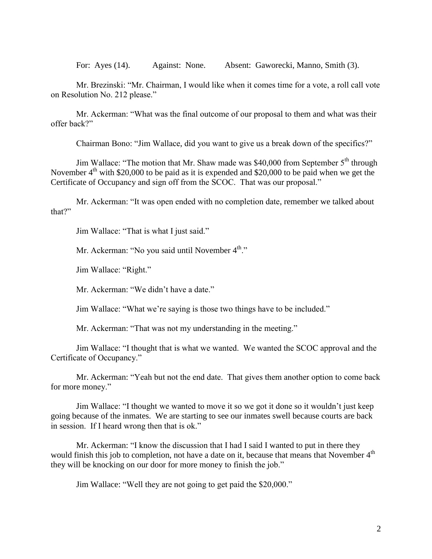For: Ayes (14). Against: None. Absent: Gaworecki, Manno, Smith (3).

Mr. Brezinski: "Mr. Chairman, I would like when it comes time for a vote, a roll call vote on Resolution No. 212 please."

Mr. Ackerman: "What was the final outcome of our proposal to them and what was their offer back?"

Chairman Bono: "Jim Wallace, did you want to give us a break down of the specifics?"

Jim Wallace: "The motion that Mr. Shaw made was \$40,000 from September  $5<sup>th</sup>$  through November  $4<sup>th</sup>$  with \$20,000 to be paid as it is expended and \$20,000 to be paid when we get the Certificate of Occupancy and sign off from the SCOC. That was our proposal."

Mr. Ackerman: "It was open ended with no completion date, remember we talked about that?"

Jim Wallace: "That is what I just said."

Mr. Ackerman: "No you said until November  $4<sup>th</sup>$ ."

Jim Wallace: "Right."

Mr. Ackerman: "We didn't have a date."

Jim Wallace: "What we're saying is those two things have to be included."

Mr. Ackerman: "That was not my understanding in the meeting."

Jim Wallace: "I thought that is what we wanted. We wanted the SCOC approval and the Certificate of Occupancy."

Mr. Ackerman: "Yeah but not the end date. That gives them another option to come back for more money."

Jim Wallace: "I thought we wanted to move it so we got it done so it wouldn't just keep going because of the inmates. We are starting to see our inmates swell because courts are back in session. If I heard wrong then that is ok."

Mr. Ackerman: "I know the discussion that I had I said I wanted to put in there they would finish this job to completion, not have a date on it, because that means that November  $4<sup>th</sup>$ they will be knocking on our door for more money to finish the job."

Jim Wallace: "Well they are not going to get paid the \$20,000."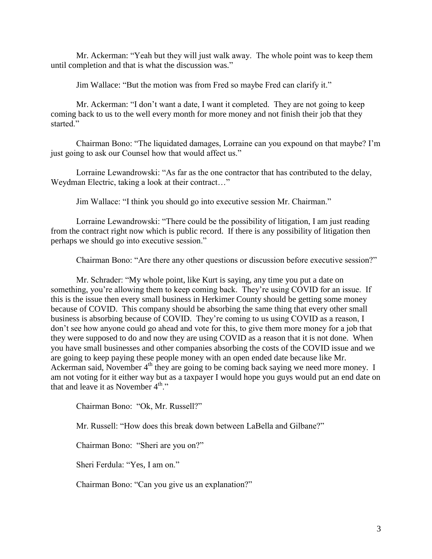Mr. Ackerman: "Yeah but they will just walk away. The whole point was to keep them until completion and that is what the discussion was."

Jim Wallace: "But the motion was from Fred so maybe Fred can clarify it."

Mr. Ackerman: "I don't want a date, I want it completed. They are not going to keep coming back to us to the well every month for more money and not finish their job that they started."

Chairman Bono: "The liquidated damages, Lorraine can you expound on that maybe? I'm just going to ask our Counsel how that would affect us."

Lorraine Lewandrowski: "As far as the one contractor that has contributed to the delay, Weydman Electric, taking a look at their contract…"

Jim Wallace: "I think you should go into executive session Mr. Chairman."

Lorraine Lewandrowski: "There could be the possibility of litigation, I am just reading from the contract right now which is public record. If there is any possibility of litigation then perhaps we should go into executive session."

Chairman Bono: "Are there any other questions or discussion before executive session?"

Mr. Schrader: "My whole point, like Kurt is saying, any time you put a date on something, you're allowing them to keep coming back. They're using COVID for an issue. If this is the issue then every small business in Herkimer County should be getting some money because of COVID. This company should be absorbing the same thing that every other small business is absorbing because of COVID. They're coming to us using COVID as a reason, I don't see how anyone could go ahead and vote for this, to give them more money for a job that they were supposed to do and now they are using COVID as a reason that it is not done. When you have small businesses and other companies absorbing the costs of the COVID issue and we are going to keep paying these people money with an open ended date because like Mr. Ackerman said, November  $4<sup>th</sup>$  they are going to be coming back saying we need more money. I am not voting for it either way but as a taxpayer I would hope you guys would put an end date on that and leave it as November  $4^{\text{th}}$ ."

Chairman Bono: "Ok, Mr. Russell?"

Mr. Russell: "How does this break down between LaBella and Gilbane?"

Chairman Bono: "Sheri are you on?"

Sheri Ferdula: "Yes, I am on."

Chairman Bono: "Can you give us an explanation?"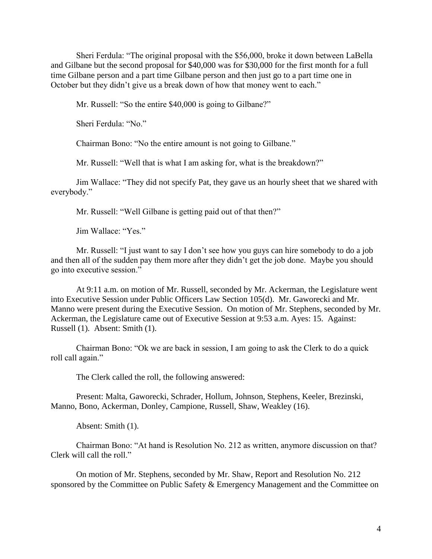Sheri Ferdula: "The original proposal with the \$56,000, broke it down between LaBella and Gilbane but the second proposal for \$40,000 was for \$30,000 for the first month for a full time Gilbane person and a part time Gilbane person and then just go to a part time one in October but they didn't give us a break down of how that money went to each."

Mr. Russell: "So the entire \$40,000 is going to Gilbane?"

Sheri Ferdula: "No."

Chairman Bono: "No the entire amount is not going to Gilbane."

Mr. Russell: "Well that is what I am asking for, what is the breakdown?"

Jim Wallace: "They did not specify Pat, they gave us an hourly sheet that we shared with everybody."

Mr. Russell: "Well Gilbane is getting paid out of that then?"

Jim Wallace: "Yes."

Mr. Russell: "I just want to say I don't see how you guys can hire somebody to do a job and then all of the sudden pay them more after they didn't get the job done. Maybe you should go into executive session."

At 9:11 a.m. on motion of Mr. Russell, seconded by Mr. Ackerman, the Legislature went into Executive Session under Public Officers Law Section 105(d). Mr. Gaworecki and Mr. Manno were present during the Executive Session. On motion of Mr. Stephens, seconded by Mr. Ackerman, the Legislature came out of Executive Session at 9:53 a.m. Ayes: 15. Against: Russell (1). Absent: Smith (1).

Chairman Bono: "Ok we are back in session, I am going to ask the Clerk to do a quick roll call again."

The Clerk called the roll, the following answered:

Present: Malta, Gaworecki, Schrader, Hollum, Johnson, Stephens, Keeler, Brezinski, Manno, Bono, Ackerman, Donley, Campione, Russell, Shaw, Weakley (16).

Absent: Smith (1).

Chairman Bono: "At hand is Resolution No. 212 as written, anymore discussion on that? Clerk will call the roll."

On motion of Mr. Stephens, seconded by Mr. Shaw, Report and Resolution No. 212 sponsored by the Committee on Public Safety & Emergency Management and the Committee on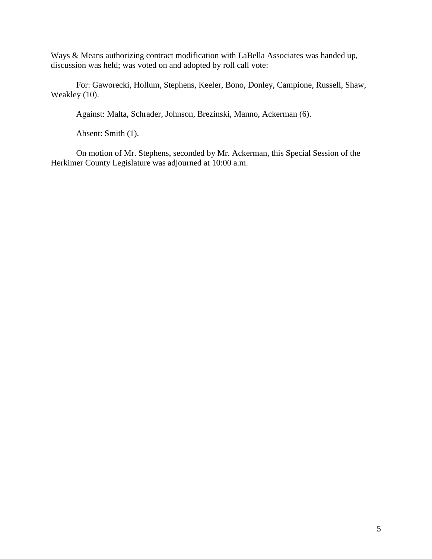Ways & Means authorizing contract modification with LaBella Associates was handed up, discussion was held; was voted on and adopted by roll call vote:

For: Gaworecki, Hollum, Stephens, Keeler, Bono, Donley, Campione, Russell, Shaw, Weakley (10).

Against: Malta, Schrader, Johnson, Brezinski, Manno, Ackerman (6).

Absent: Smith (1).

On motion of Mr. Stephens, seconded by Mr. Ackerman, this Special Session of the Herkimer County Legislature was adjourned at 10:00 a.m.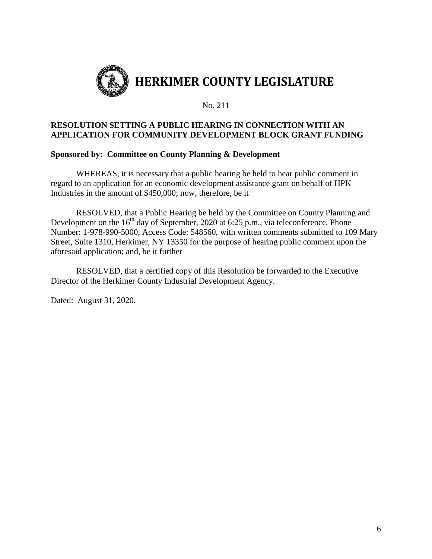

#### No. 211

# **RESOLUTION SETTING A PUBLIC HEARING IN CONNECTION WITH AN APPLICATION FOR COMMUNITY DEVELOPMENT BLOCK GRANT FUNDING**

# **Sponsored by: Committee on County Planning & Development**

WHEREAS, it is necessary that a public hearing be held to hear public comment in regard to an application for an economic development assistance grant on behalf of HPK Industries in the amount of \$450,000; now, therefore, be it

RESOLVED, that a Public Hearing be held by the Committee on County Planning and Development on the  $16<sup>th</sup>$  day of September, 2020 at 6:25 p.m., via teleconference, Phone Number: 1-978-990-5000, Access Code: 548560, with written comments submitted to 109 Mary Street, Suite 1310, Herkimer, NY 13350 for the purpose of hearing public comment upon the aforesaid application; and, be it further

RESOLVED, that a certified copy of this Resolution be forwarded to the Executive Director of the Herkimer County Industrial Development Agency.

Dated: August 31, 2020.